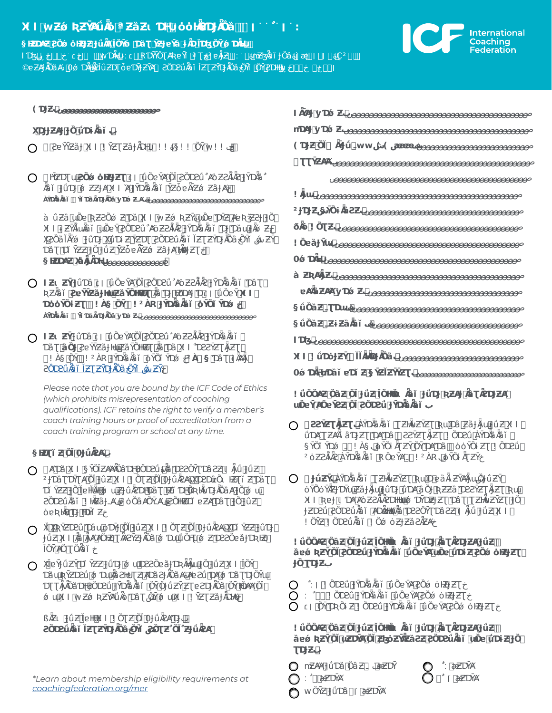# **X!IwƵǿƦƵȲȺǘǞȯªƵȁƵɩƊǶȯȯǶǞƧƊɈǞȌȁےׂ׀ׂׂׂٌ׀ׂ׃**

**§ǶƵƊȺƵƧȌǿȯǶƵɈƵɈǘǞȺǏȌȲǿƊȁƮȲƵɈɐȲȁɨǞƊǏƊɮȌȲǿƊǞǶب**

׀ׅ׃خׁׂخׅخׁڕƧƊǶǶȌȲȌȲǐخƧȌƊƧǘǞȁǐǏƵƮƵȲƊɈǞȌȁۊǞƧǏǘƵƊƮȱɐƊȲɈƵȲȺǿƊǞǶ0دɐƵȺɈǞȌȁȺ©



| 9   |                                           |                                                                                                                     |
|-----|-------------------------------------------|---------------------------------------------------------------------------------------------------------------------|
| Ë   |                                           | $\mathcal{O}(\mathcal{A})$ . And the set of $\mathcal{O}(\mathcal{A})$                                              |
|     | $\circ$ $\hspace{0.1cm}$ $\hspace{0.1cm}$ | $22$ $A22$ $5$ $22$ $\degree$<br>$12Z$ 2                                                                            |
|     | $\circ$                                   | and the contract of<br>127                                                                                          |
|     | Ú                                         | E<br>$\rightarrow$                                                                                                  |
|     | ú<br>i2Z<br>Ë                             | 1275<br>and the state of the state<br>一寸二<br><b>Contractor</b>                                                      |
|     | Á                                         | $-1$                                                                                                                |
| O Z |                                           | $\sim 10^{-10}$<br>$\sim$<br>and the state of the<br>and the control of the con-<br>and the state of<br>12Z         |
|     | Ú                                         | $^{\circ}$ 2ÚÁ $^{\circ}$ 2Ì Úc $^{\circ}$<br>$\overline{C}$ and $\overline{C}$ and $\overline{C}$<br>$\rightarrow$ |
| ( ) | Z                                         | $\mathcal{L}(\mathcal{L})$ and the contribution of the contribution of the contribution of<br>$\sim$ 12Z            |
|     |                                           | $^{\circ}$ 2ÚÁ $^{\circ}$ $^{\circ}$ 2Ì Úc $^{\circ}$<br>ÌÚÁ.                                                       |

*Please note that you are bound by the ICF Code of Ethics (which prohibits misrepresentation of coaching qualifications). ICF retains the right to verify a member's coach training hours or proof of accreditation from a coach training program or school at any time.* 

## **§ǶƵƮǐƵȌǏ0ɈǘǞƧȺب**

- $\overline{X}$  IS $\overline{X}$  Is  $\overline{X}$  $\bigcirc$ ²ɈƊȁƮƊȲƮȺȌǏɈǘƵX!I!ȌƮƵȌǏ0ɈǘǞƧȺةXƊƧDzȁȌɩǶƵƮǐƵƊȁƮ ƊǐȲƵƵɈȌǏɐǶǏǞǶǶǿɯƵɈǘǞƧƊǶƊȁƮǶƵǐƊǶȌƦǶǞǐƊɈǞȌȁȺɈȌǿɯ  $\blacksquare$ ȯɐƦǶǞƧƊɈǶƊȲǐƵخ
- $X^{\text{max}}$  X $X^{\text{max}}$   $X^{\text{max}}$  $\bigcirc$  $^{\circ}$ i $^{2}$ Z $^{\circ}$ ǏȌȲȺȌƮȌǞȁǐخ
- $Y^*$ iji ƊȁɯƦȲƵƊƧǘǿƊɯǞȁƧǶɐƮƵȺƊȁƧɈǞȌȁȺةȺɐƧǘƊȺǿƊȁƮƊɈȌȲɯ ƊƮƮǞɈǞȌȁƊǶƧȌƊƧǘɈȲƊǞȁǞȁǐȌȲȌɈǘƵȲƵƮɐƧƊɈǞȌȁȌȲǶȌȺȺȌǏ  $12Z$ 'Š

 $\hat{u}$   $\hat{v}$   $\hat{i}$   $\hat{z}$   $\hat{z}$   $\hat{z}$   $\hat{z}$   $\hat{z}$ 

**[ƧȌƊƧǘǞȁǐǏƵƮƵȲƊɈǞȌȁخȌȲǐشƧ](https://coachingfederation.org/code-of-ethics)ȌƮƵٌȌǏٌƵɈǘǞƧȺ**

*\*Learn about membership eligibility requirements at [coachingfederation.org/mer](https://coachingfederation.org/professional-coaches/eligibility-requirements)*

- صصصصصصصصصصصصصصصصصصصصصصصصصصصصصصصصصصصصصصصصصص**بyƊǿƵIǞȲȺɈ mƊȺɈyƊǿƵ**صصصصصصصصصصصصصصصصصصصصصصصصصصصصصصصصصصصصصصصصصصص**ب (ƊɈƵȌǏ ǞȲɈǘـwwش))شæææ**صصصصصصصصصصصصصصصصصصصصصصصصصص**بف** صصصصصصصصصصصصصصصصصصصصصصصصصصصصصصصصصصصصصصصصصصصصصص**بƮƮȲƵȺȺ** صصصصصصصصصصصصصصصصصصصصصصصصصصصصصصصصصصصصصصصصصصصصصصص**بǞɈɯ!** صصصصصصصصصصصصصصصصصصصصصصصصصصصصصصصصصصصص**بȲȌɨǞȁƧƵ§شɈƊɈƵ²**  $\overline{2}$ صصصصصصصصصصصصصصصصصصصصصصصصصصصصصصصصصصصصصصصصصصص**بȌɐȁɈȲɯ!** صصصصصصصصصصصصصصصصصصصصصصصصصصصصصصصصصصصصصصصصصصصصص**بǿƊǞǶ0** صصصصصصصصصصصصصصصصصصصصصصصصصصصصصصصصصصصصصصصصصصص**بàƵƦȺǞɈƵ** صصصصصصصصصصصصصصصصصصصصصصصصصصصصصصصصصصص**بyƊǿƵɐȺǞȁƵȺȺ**  صصصصصصصصصصصصصصصصصصصصصصصصصصصصصصصصصصصصصصص**بفƮƊɯـǘȌȁƵ§** صصصصصصصصصصصصصصصصصصصصصصصصصصصصصصصصصص**بفƵɨƵȁǞȁǐـǘȌȁƵ§**
- صصصصصصصصصصصصصصصصصصصصصصصصصصصصصصصصصصصصصصصصصصصصصصصص**بIƊɮ X!I!ǘƊȯɈƵȲǏǏǞǶǞƊɈǞȌȁب**صصصصصصصصصصصصصصصصصصصصصصصصصصصص **0ǿƊǞǶmƊȁǐɐƊǐƵ§ȲƵǏƵȲȲƵƮب**صصصصصصصصصصصصصصصصصصصصصصصصصصصصص
- **!ǘȌȌȺƵȌȁƵȌǏɈǘƵǏȌǶǶȌɩǞȁǐɈǘƊɈƦƵȺɈǞȁƮǞƧƊɈƵȺ ɯȌɐȲȺȌɐȲƧƵȌǏƧȌƊƧǘɈȲƊǞȁǞȁǐب**
- **ƧƧȲƵƮǞɈƵƮب**ÀȲƊǞȁǞȁǐƮƵǶǞɨƵȲƵƮƦɯƊȁƵȁɈǞɈɯɈǘƵX!I  $\bigcirc$  $\sim$ i $\sim$ §ȲȌǐȲƊǿـ!À§فȯȲȌɨǞƮƵȲȌȲƊȺƊȁȯȯȲȌɨƵƮ!ȌƊƧǘ Ì Ú <del>C</del>
- **ɈǘƵȲب**ÀȲƊǞȁǞȁǐƮƵǶǞɨƵȲƵƮƦɯƊɐȁǞɨƵȲȺǞɈɯشȌɈǘƵȲ ȯȲȌȯȲǞƵɈƊȲɯƵȁɈǞɈɯɈǘƊɈǘƊȺȁȌɈƦƵƵȁƊƧƧȲƵƮǞɈƵƮƦɯ X!IƦɐɈɩƊȺȺȯƵƧǞǏǞƧƊǶǶɯǿƊȲDzƵɈƵƮƊȁƮƮƵǶǞɨƵȲƵƮɈȌ  $\blacksquare$  $2 \t3 \t2 \t3$
- **!ǘȌȌȺƵȌȁƵȌǏɈǘƵǏȌǶǶȌɩǞȁǐɈǘƊɈǞȁƮǞƧƊɈƵȺɈǘƵ ȁɐǿƦƵȲȌǏƧȌƊƧǘɈȲƊǞȁǞȁǐǘȌɐȲȺɯȌɐǘƊɨƵƧȌǿȯǶƵɈƵƮ ɈȌƮƊɈƵب**
- $\bigcirc$ ׁٌ׀׃!ȌƊƧǘɈȲƊǞȁǞȁǐǘȌɐȲȺƧȌǿȯǶƵɈƵƮخ Ŏ  $\blacksquare$  $\sim$
- **!ǘȌȌȺƵȌȁƵȌǏɈǘƵǏȌǶǶȌɩǞȁǐɈǘƊɈǞȁƮǞƧƊɈƵȺɈǘƵ ȁɐǿƦƵȲȌǏɯƵƊȲȺȌǏƵɮȯƵȲǞƵȁƧƵƧȌƊƧǘǞȁǐɯȌɐǘƊɨƵɈȌ بƮƊɈƵ**
- O  $\sim$   $\sim$   $\sim$  $\bigcirc$  $\bullet$  and  $\bullet$   $\bullet$ Ŝ

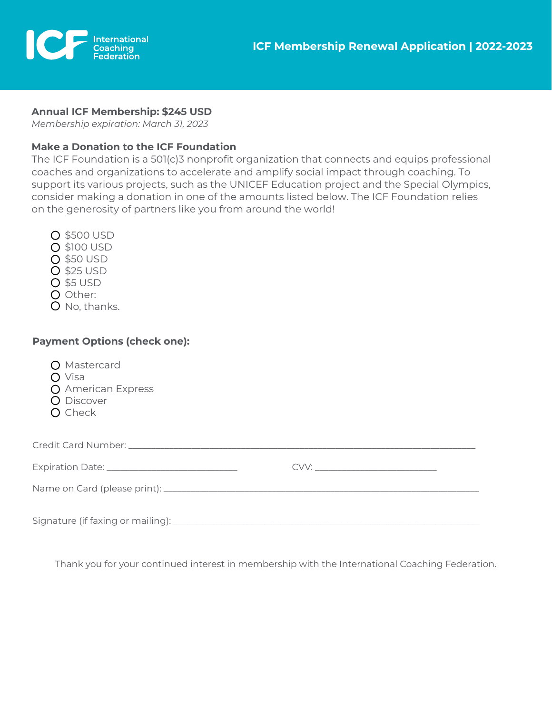



### **Annual ICF Membership: \$245 USD**

*Membership expiration: March 31, 2023*

### **Make a Donation to the ICF Foundation**

The ICF Foundation is a 501(c)3 nonprofit organization that connects and equips professional coaches and organizations to accelerate and amplify social impact through coaching. To support its various projects, such as the UNICEF Education project and the Special Olympics, consider making a donation in one of the amounts listed below. The ICF Foundation relies on the generosity of partners like you from around the world!

- \$500 USD
- \$100 USD
- \$50 USD
- **O** \$25 USD
- **O** \$5 USD
- O Other:
- O No, thanks.

## **Payment Options (check one):**

| O Mastercard<br>$\bigcirc$ Visa<br>O American Express<br>O Discover<br>O Check |  |  |  |
|--------------------------------------------------------------------------------|--|--|--|
|                                                                                |  |  |  |
|                                                                                |  |  |  |
|                                                                                |  |  |  |
|                                                                                |  |  |  |

Thank you for your continued interest in membership with the International Coaching Federation.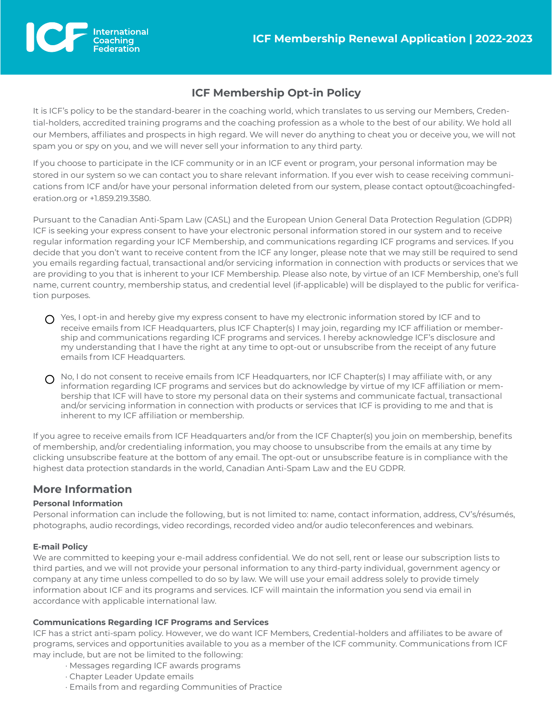

# **ICF Membership Opt-in Policy**

It is ICF's policy to be the standard-bearer in the coaching world, which translates to us serving our Members, Credential-holders, accredited training programs and the coaching profession as a whole to the best of our ability. We hold all our Members, affiliates and prospects in high regard. We will never do anything to cheat you or deceive you, we will not spam you or spy on you, and we will never sell your information to any third party.

If you choose to participate in the ICF community or in an ICF event or program, your personal information may be stored in our system so we can contact you to share relevant information. If you ever wish to cease receiving communications from ICF and/or have your personal information deleted from our system, please contact optout@coachingfederation.org or +1.859.219.3580.

Pursuant to the Canadian Anti-Spam Law (CASL) and the European Union General Data Protection Regulation (GDPR) ICF is seeking your express consent to have your electronic personal information stored in our system and to receive regular information regarding your ICF Membership, and communications regarding ICF programs and services. If you decide that you don't want to receive content from the ICF any longer, please note that we may still be required to send you emails regarding factual, transactional and/or servicing information in connection with products or services that we are providing to you that is inherent to your ICF Membership. Please also note, by virtue of an ICF Membership, one's full name, current country, membership status, and credential level (if-applicable) will be displayed to the public for verification purposes.

- $\bigcap$  Yes, I opt-in and hereby give my express consent to have my electronic information stored by ICF and to receive emails from ICF Headquarters, plus ICF Chapter(s) I may join, regarding my ICF affiliation or membership and communications regarding ICF programs and services. I hereby acknowledge ICF's disclosure and my understanding that I have the right at any time to opt-out or unsubscribe from the receipt of any future emails from ICF Headquarters.
- $\Omega$  No, I do not consent to receive emails from ICF Headquarters, nor ICF Chapter(s) I may affiliate with, or any information regarding ICF programs and services but do acknowledge by virtue of my ICF affiliation or membership that ICF will have to store my personal data on their systems and communicate factual, transactional and/or servicing information in connection with products or services that ICF is providing to me and that is inherent to my ICF affiliation or membership.

If you agree to receive emails from ICF Headquarters and/or from the ICF Chapter(s) you join on membership, benefits of membership, and/or credentialing information, you may choose to unsubscribe from the emails at any time by clicking unsubscribe feature at the bottom of any email. The opt-out or unsubscribe feature is in compliance with the highest data protection standards in the world, Canadian Anti-Spam Law and the EU GDPR.

# **More Information**

### **Personal Information**

Personal information can include the following, but is not limited to: name, contact information, address, CV's/résumés, photographs, audio recordings, video recordings, recorded video and/or audio teleconferences and webinars.

### **E-mail Policy**

We are committed to keeping your e-mail address confidential. We do not sell, rent or lease our subscription lists to third parties, and we will not provide your personal information to any third-party individual, government agency or company at any time unless compelled to do so by law. We will use your email address solely to provide timely information about ICF and its programs and services. ICF will maintain the information you send via email in accordance with applicable international law.

### **Communications Regarding ICF Programs and Services**

ICF has a strict anti-spam policy. However, we do want ICF Members, Credential-holders and affiliates to be aware of programs, services and opportunities available to you as a member of the ICF community. Communications from ICF may include, but are not be limited to the following:

- · Messages regarding ICF awards programs
- · Chapter Leader Update emails
- · Emails from and regarding Communities of Practice